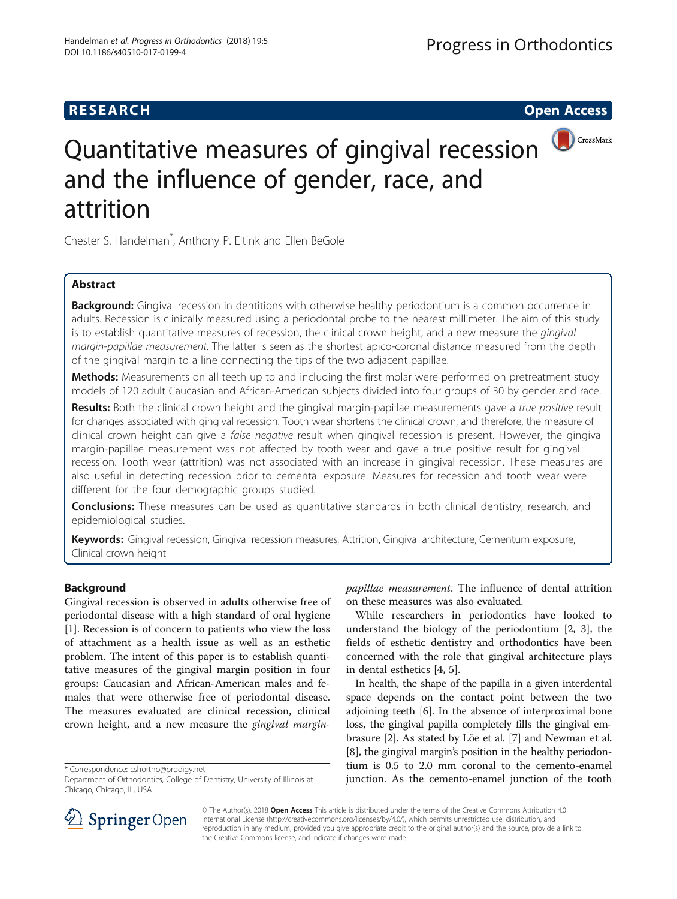



# Quantitative measures of gingival recession and the influence of gender, race, and attrition

Chester S. Handelman\* , Anthony P. Eltink and Ellen BeGole

# Abstract

Background: Gingival recession in dentitions with otherwise healthy periodontium is a common occurrence in adults. Recession is clinically measured using a periodontal probe to the nearest millimeter. The aim of this study is to establish quantitative measures of recession, the clinical crown height, and a new measure the *gingival* margin-papillae measurement. The latter is seen as the shortest apico-coronal distance measured from the depth of the gingival margin to a line connecting the tips of the two adjacent papillae.

Methods: Measurements on all teeth up to and including the first molar were performed on pretreatment study models of 120 adult Caucasian and African-American subjects divided into four groups of 30 by gender and race.

Results: Both the clinical crown height and the gingival margin-papillae measurements gave a true positive result for changes associated with gingival recession. Tooth wear shortens the clinical crown, and therefore, the measure of clinical crown height can give a false negative result when gingival recession is present. However, the gingival margin-papillae measurement was not affected by tooth wear and gave a true positive result for gingival recession. Tooth wear (attrition) was not associated with an increase in gingival recession. These measures are also useful in detecting recession prior to cemental exposure. Measures for recession and tooth wear were different for the four demographic groups studied.

**Conclusions:** These measures can be used as quantitative standards in both clinical dentistry, research, and epidemiological studies.

Keywords: Gingival recession, Gingival recession measures, Attrition, Gingival architecture, Cementum exposure, Clinical crown height

# **Background**

Gingival recession is observed in adults otherwise free of periodontal disease with a high standard of oral hygiene [[1\]](#page-9-0). Recession is of concern to patients who view the loss of attachment as a health issue as well as an esthetic problem. The intent of this paper is to establish quantitative measures of the gingival margin position in four groups: Caucasian and African-American males and females that were otherwise free of periodontal disease. The measures evaluated are clinical recession, clinical crown height, and a new measure the gingival margin-

\* Correspondence: [cshortho@prodigy.net](mailto:cshortho@prodigy.net)

papillae measurement. The influence of dental attrition on these measures was also evaluated.

While researchers in periodontics have looked to understand the biology of the periodontium [[2, 3\]](#page-9-0), the fields of esthetic dentistry and orthodontics have been concerned with the role that gingival architecture plays in dental esthetics [[4, 5\]](#page-9-0).

In health, the shape of the papilla in a given interdental space depends on the contact point between the two adjoining teeth [\[6](#page-9-0)]. In the absence of interproximal bone loss, the gingival papilla completely fills the gingival embrasure [[2\]](#page-9-0). As stated by Löe et al. [[7\]](#page-9-0) and Newman et al. [[8\]](#page-9-0), the gingival margin's position in the healthy periodontium is 0.5 to 2.0 mm coronal to the cemento-enamel junction. As the cemento-enamel junction of the tooth



© The Author(s). 2018 Open Access This article is distributed under the terms of the Creative Commons Attribution 4.0 International License ([http://creativecommons.org/licenses/by/4.0/\)](http://creativecommons.org/licenses/by/4.0/), which permits unrestricted use, distribution, and reproduction in any medium, provided you give appropriate credit to the original author(s) and the source, provide a link to the Creative Commons license, and indicate if changes were made.

Department of Orthodontics, College of Dentistry, University of Illinois at Chicago, Chicago, IL, USA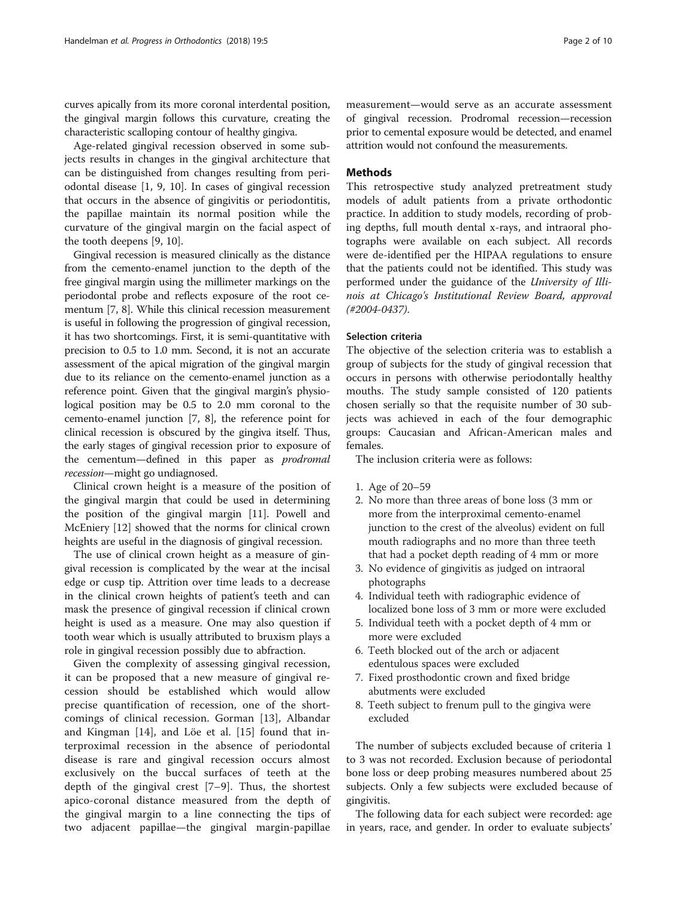curves apically from its more coronal interdental position, the gingival margin follows this curvature, creating the characteristic scalloping contour of healthy gingiva.

Age-related gingival recession observed in some subjects results in changes in the gingival architecture that can be distinguished from changes resulting from periodontal disease [\[1](#page-9-0), [9](#page-9-0), [10](#page-9-0)]. In cases of gingival recession that occurs in the absence of gingivitis or periodontitis, the papillae maintain its normal position while the curvature of the gingival margin on the facial aspect of the tooth deepens [\[9](#page-9-0), [10](#page-9-0)].

Gingival recession is measured clinically as the distance from the cemento-enamel junction to the depth of the free gingival margin using the millimeter markings on the periodontal probe and reflects exposure of the root cementum [\[7, 8\]](#page-9-0). While this clinical recession measurement is useful in following the progression of gingival recession, it has two shortcomings. First, it is semi-quantitative with precision to 0.5 to 1.0 mm. Second, it is not an accurate assessment of the apical migration of the gingival margin due to its reliance on the cemento-enamel junction as a reference point. Given that the gingival margin's physiological position may be 0.5 to 2.0 mm coronal to the cemento-enamel junction [[7, 8](#page-9-0)], the reference point for clinical recession is obscured by the gingiva itself. Thus, the early stages of gingival recession prior to exposure of the cementum—defined in this paper as prodromal recession—might go undiagnosed.

Clinical crown height is a measure of the position of the gingival margin that could be used in determining the position of the gingival margin [[11\]](#page-9-0). Powell and McEniery [[12](#page-9-0)] showed that the norms for clinical crown heights are useful in the diagnosis of gingival recession.

The use of clinical crown height as a measure of gingival recession is complicated by the wear at the incisal edge or cusp tip. Attrition over time leads to a decrease in the clinical crown heights of patient's teeth and can mask the presence of gingival recession if clinical crown height is used as a measure. One may also question if tooth wear which is usually attributed to bruxism plays a role in gingival recession possibly due to abfraction.

Given the complexity of assessing gingival recession, it can be proposed that a new measure of gingival recession should be established which would allow precise quantification of recession, one of the shortcomings of clinical recession. Gorman [[13\]](#page-9-0), Albandar and Kingman [[14](#page-9-0)], and Löe et al. [\[15](#page-9-0)] found that interproximal recession in the absence of periodontal disease is rare and gingival recession occurs almost exclusively on the buccal surfaces of teeth at the depth of the gingival crest [\[7](#page-9-0)–[9](#page-9-0)]. Thus, the shortest apico-coronal distance measured from the depth of the gingival margin to a line connecting the tips of two adjacent papillae—the gingival margin-papillae

measurement—would serve as an accurate assessment of gingival recession. Prodromal recession—recession prior to cemental exposure would be detected, and enamel attrition would not confound the measurements.

# **Methods**

This retrospective study analyzed pretreatment study models of adult patients from a private orthodontic practice. In addition to study models, recording of probing depths, full mouth dental x-rays, and intraoral photographs were available on each subject. All records were de-identified per the HIPAA regulations to ensure that the patients could not be identified. This study was performed under the guidance of the University of Illinois at Chicago's Institutional Review Board, approval (#2004-0437).

# Selection criteria

The objective of the selection criteria was to establish a group of subjects for the study of gingival recession that occurs in persons with otherwise periodontally healthy mouths. The study sample consisted of 120 patients chosen serially so that the requisite number of 30 subjects was achieved in each of the four demographic groups: Caucasian and African-American males and females.

The inclusion criteria were as follows:

- 1. Age of 20–59
- 2. No more than three areas of bone loss (3 mm or more from the interproximal cemento-enamel junction to the crest of the alveolus) evident on full mouth radiographs and no more than three teeth that had a pocket depth reading of 4 mm or more
- 3. No evidence of gingivitis as judged on intraoral photographs
- 4. Individual teeth with radiographic evidence of localized bone loss of 3 mm or more were excluded
- 5. Individual teeth with a pocket depth of 4 mm or more were excluded
- 6. Teeth blocked out of the arch or adjacent edentulous spaces were excluded
- 7. Fixed prosthodontic crown and fixed bridge abutments were excluded
- 8. Teeth subject to frenum pull to the gingiva were excluded

The number of subjects excluded because of criteria 1 to 3 was not recorded. Exclusion because of periodontal bone loss or deep probing measures numbered about 25 subjects. Only a few subjects were excluded because of gingivitis.

The following data for each subject were recorded: age in years, race, and gender. In order to evaluate subjects'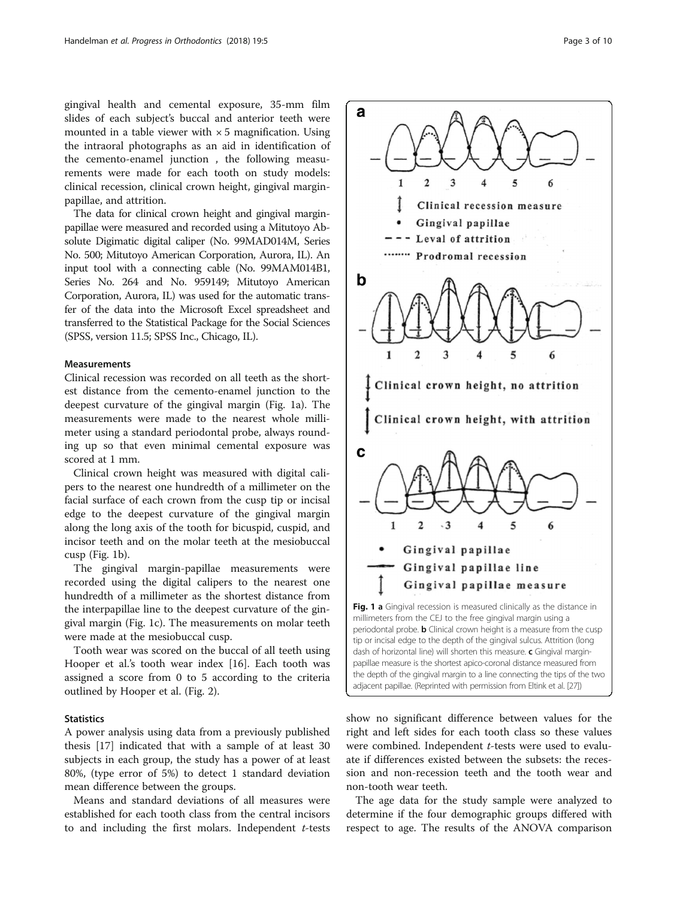gingival health and cemental exposure, 35-mm film slides of each subject's buccal and anterior teeth were mounted in a table viewer with  $\times$  5 magnification. Using the intraoral photographs as an aid in identification of the cemento-enamel junction , the following measurements were made for each tooth on study models: clinical recession, clinical crown height, gingival marginpapillae, and attrition.

The data for clinical crown height and gingival marginpapillae were measured and recorded using a Mitutoyo Absolute Digimatic digital caliper (No. 99MAD014M, Series No. 500; Mitutoyo American Corporation, Aurora, IL). An input tool with a connecting cable (No. 99MAM014B1, Series No. 264 and No. 959149; Mitutoyo American Corporation, Aurora, IL) was used for the automatic transfer of the data into the Microsoft Excel spreadsheet and transferred to the Statistical Package for the Social Sciences (SPSS, version 11.5; SPSS Inc., Chicago, IL).

#### **Measurements**

Clinical recession was recorded on all teeth as the shortest distance from the cemento-enamel junction to the deepest curvature of the gingival margin (Fig. 1a). The measurements were made to the nearest whole millimeter using a standard periodontal probe, always rounding up so that even minimal cemental exposure was scored at 1 mm.

Clinical crown height was measured with digital calipers to the nearest one hundredth of a millimeter on the facial surface of each crown from the cusp tip or incisal edge to the deepest curvature of the gingival margin along the long axis of the tooth for bicuspid, cuspid, and incisor teeth and on the molar teeth at the mesiobuccal cusp (Fig. 1b).

The gingival margin-papillae measurements were recorded using the digital calipers to the nearest one hundredth of a millimeter as the shortest distance from the interpapillae line to the deepest curvature of the gingival margin (Fig. 1c). The measurements on molar teeth were made at the mesiobuccal cusp.

Tooth wear was scored on the buccal of all teeth using Hooper et al.'s tooth wear index [[16](#page-9-0)]. Each tooth was assigned a score from 0 to 5 according to the criteria outlined by Hooper et al. (Fig. [2\)](#page-3-0).

### **Statistics**

A power analysis using data from a previously published thesis [[17](#page-9-0)] indicated that with a sample of at least 30 subjects in each group, the study has a power of at least 80%, (type error of 5%) to detect 1 standard deviation mean difference between the groups.

Means and standard deviations of all measures were established for each tooth class from the central incisors to and including the first molars. Independent  $t$ -tests



show no significant difference between values for the right and left sides for each tooth class so these values were combined. Independent *t*-tests were used to evaluate if differences existed between the subsets: the recession and non-recession teeth and the tooth wear and non-tooth wear teeth.

The age data for the study sample were analyzed to determine if the four demographic groups differed with respect to age. The results of the ANOVA comparison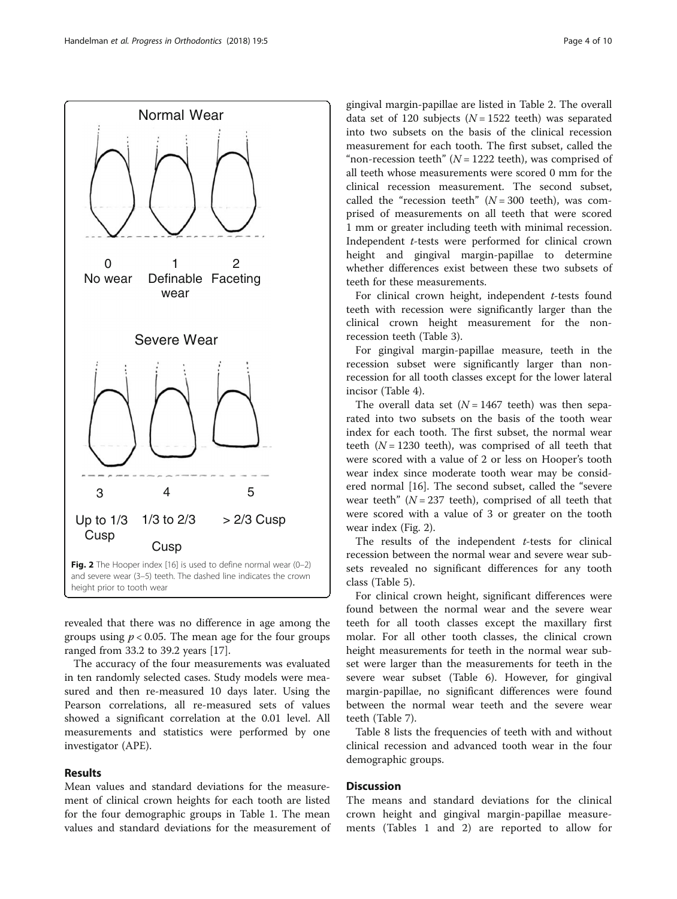<span id="page-3-0"></span>

revealed that there was no difference in age among the groups using  $p < 0.05$ . The mean age for the four groups ranged from 33.2 to 39.2 years [[17\]](#page-9-0).

The accuracy of the four measurements was evaluated in ten randomly selected cases. Study models were measured and then re-measured 10 days later. Using the Pearson correlations, all re-measured sets of values showed a significant correlation at the 0.01 level. All measurements and statistics were performed by one investigator (APE).

# Results

Mean values and standard deviations for the measurement of clinical crown heights for each tooth are listed for the four demographic groups in Table [1.](#page-4-0) The mean values and standard deviations for the measurement of gingival margin-papillae are listed in Table [2](#page-4-0). The overall data set of 120 subjects ( $N = 1522$  teeth) was separated into two subsets on the basis of the clinical recession measurement for each tooth. The first subset, called the "non-recession teeth" ( $N = 1222$  teeth), was comprised of all teeth whose measurements were scored 0 mm for the clinical recession measurement. The second subset, called the "recession teeth"  $(N = 300$  teeth), was comprised of measurements on all teeth that were scored 1 mm or greater including teeth with minimal recession. Independent t-tests were performed for clinical crown height and gingival margin-papillae to determine whether differences exist between these two subsets of teeth for these measurements.

For clinical crown height, independent t-tests found teeth with recession were significantly larger than the clinical crown height measurement for the nonrecession teeth (Table [3\)](#page-5-0).

For gingival margin-papillae measure, teeth in the recession subset were significantly larger than nonrecession for all tooth classes except for the lower lateral incisor (Table [4](#page-5-0)).

The overall data set  $(N = 1467$  teeth) was then separated into two subsets on the basis of the tooth wear index for each tooth. The first subset, the normal wear teeth ( $N = 1230$  teeth), was comprised of all teeth that were scored with a value of 2 or less on Hooper's tooth wear index since moderate tooth wear may be considered normal [[16](#page-9-0)]. The second subset, called the "severe wear teeth" ( $N = 237$  teeth), comprised of all teeth that were scored with a value of 3 or greater on the tooth wear index (Fig. 2).

The results of the independent  $t$ -tests for clinical recession between the normal wear and severe wear subsets revealed no significant differences for any tooth class (Table [5\)](#page-6-0).

For clinical crown height, significant differences were found between the normal wear and the severe wear teeth for all tooth classes except the maxillary first molar. For all other tooth classes, the clinical crown height measurements for teeth in the normal wear subset were larger than the measurements for teeth in the severe wear subset (Table [6](#page-6-0)). However, for gingival margin-papillae, no significant differences were found between the normal wear teeth and the severe wear teeth (Table [7](#page-7-0)).

Table [8](#page-7-0) lists the frequencies of teeth with and without clinical recession and advanced tooth wear in the four demographic groups.

# Discussion

The means and standard deviations for the clinical crown height and gingival margin-papillae measurements (Tables [1](#page-4-0) and [2\)](#page-4-0) are reported to allow for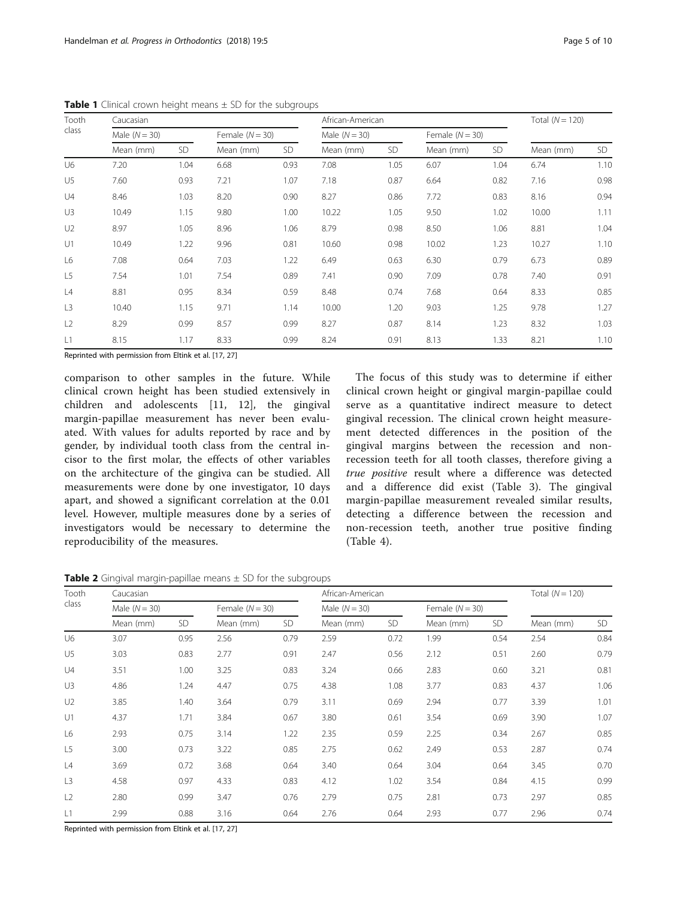| Tooth          | Caucasian       |      |           |                   | African-American |                 |           |                   | Total $(N = 120)$ |      |
|----------------|-----------------|------|-----------|-------------------|------------------|-----------------|-----------|-------------------|-------------------|------|
| class          | Male $(N = 30)$ |      |           | Female $(N = 30)$ |                  | Male $(N = 30)$ |           | Female $(N = 30)$ |                   |      |
|                | Mean (mm)       | SD.  | Mean (mm) | <b>SD</b>         | Mean (mm)        | SD.             | Mean (mm) | SD                | Mean (mm)         | SD.  |
| U <sub>6</sub> | 7.20            | 1.04 | 6.68      | 0.93              | 7.08             | 1.05            | 6.07      | 1.04              | 6.74              | 1.10 |
| U <sub>5</sub> | 7.60            | 0.93 | 7.21      | 1.07              | 7.18             | 0.87            | 6.64      | 0.82              | 7.16              | 0.98 |
| U4             | 8.46            | 1.03 | 8.20      | 0.90              | 8.27             | 0.86            | 7.72      | 0.83              | 8.16              | 0.94 |
| U3             | 10.49           | 1.15 | 9.80      | 1.00              | 10.22            | 1.05            | 9.50      | 1.02              | 10.00             | 1.11 |
| U <sub>2</sub> | 8.97            | 1.05 | 8.96      | 1.06              | 8.79             | 0.98            | 8.50      | 1.06              | 8.81              | 1.04 |
| U1             | 10.49           | 1.22 | 9.96      | 0.81              | 10.60            | 0.98            | 10.02     | 1.23              | 10.27             | 1.10 |
| L6             | 7.08            | 0.64 | 7.03      | 1.22              | 6.49             | 0.63            | 6.30      | 0.79              | 6.73              | 0.89 |
| L <sub>5</sub> | 7.54            | 1.01 | 7.54      | 0.89              | 7.41             | 0.90            | 7.09      | 0.78              | 7.40              | 0.91 |
| L4             | 8.81            | 0.95 | 8.34      | 0.59              | 8.48             | 0.74            | 7.68      | 0.64              | 8.33              | 0.85 |
| L3             | 10.40           | 1.15 | 9.71      | 1.14              | 10.00            | 1.20            | 9.03      | 1.25              | 9.78              | 1.27 |
| L2             | 8.29            | 0.99 | 8.57      | 0.99              | 8.27             | 0.87            | 8.14      | 1.23              | 8.32              | 1.03 |
| L1             | 8.15            | 1.17 | 8.33      | 0.99              | 8.24             | 0.91            | 8.13      | 1.33              | 8.21              | 1.10 |

<span id="page-4-0"></span>**Table 1** Clinical crown height means  $\pm$  SD for the subgroups

Reprinted with permission from Eltink et al. [\[17](#page-9-0), [27\]](#page-9-0)

comparison to other samples in the future. While clinical crown height has been studied extensively in children and adolescents [\[11](#page-9-0), [12\]](#page-9-0), the gingival margin-papillae measurement has never been evaluated. With values for adults reported by race and by gender, by individual tooth class from the central incisor to the first molar, the effects of other variables on the architecture of the gingiva can be studied. All measurements were done by one investigator, 10 days apart, and showed a significant correlation at the 0.01 level. However, multiple measures done by a series of investigators would be necessary to determine the reproducibility of the measures.

The focus of this study was to determine if either clinical crown height or gingival margin-papillae could serve as a quantitative indirect measure to detect gingival recession. The clinical crown height measurement detected differences in the position of the gingival margins between the recession and nonrecession teeth for all tooth classes, therefore giving a true positive result where a difference was detected and a difference did exist (Table [3\)](#page-5-0). The gingival margin-papillae measurement revealed similar results, detecting a difference between the recession and non-recession teeth, another true positive finding (Table [4\)](#page-5-0).

**Table 2** Gingival margin-papillae means  $\pm$  SD for the subgroups

| Tooth<br>class | Caucasian       |           |                   |           | African-American |      |                   |      | Total $(N = 120)$ |      |
|----------------|-----------------|-----------|-------------------|-----------|------------------|------|-------------------|------|-------------------|------|
|                | Male $(N = 30)$ |           | Female $(N = 30)$ |           | Male $(N = 30)$  |      | Female $(N = 30)$ |      |                   |      |
|                | Mean (mm)       | <b>SD</b> | Mean (mm)         | <b>SD</b> | Mean (mm)        | SD   | Mean (mm)         | SD.  | Mean (mm)         | SD   |
| U6             | 3.07            | 0.95      | 2.56              | 0.79      | 2.59             | 0.72 | 1.99              | 0.54 | 2.54              | 0.84 |
| U <sub>5</sub> | 3.03            | 0.83      | 2.77              | 0.91      | 2.47             | 0.56 | 2.12              | 0.51 | 2.60              | 0.79 |
| U4             | 3.51            | 1.00      | 3.25              | 0.83      | 3.24             | 0.66 | 2.83              | 0.60 | 3.21              | 0.81 |
| U3             | 4.86            | 1.24      | 4.47              | 0.75      | 4.38             | 1.08 | 3.77              | 0.83 | 4.37              | 1.06 |
| U <sub>2</sub> | 3.85            | 1.40      | 3.64              | 0.79      | 3.11             | 0.69 | 2.94              | 0.77 | 3.39              | 1.01 |
| U1             | 4.37            | 1.71      | 3.84              | 0.67      | 3.80             | 0.61 | 3.54              | 0.69 | 3.90              | 1.07 |
| L6             | 2.93            | 0.75      | 3.14              | 1.22      | 2.35             | 0.59 | 2.25              | 0.34 | 2.67              | 0.85 |
| L <sub>5</sub> | 3.00            | 0.73      | 3.22              | 0.85      | 2.75             | 0.62 | 2.49              | 0.53 | 2.87              | 0.74 |
| L4             | 3.69            | 0.72      | 3.68              | 0.64      | 3.40             | 0.64 | 3.04              | 0.64 | 3.45              | 0.70 |
| L <sub>3</sub> | 4.58            | 0.97      | 4.33              | 0.83      | 4.12             | 1.02 | 3.54              | 0.84 | 4.15              | 0.99 |
| L2             | 2.80            | 0.99      | 3.47              | 0.76      | 2.79             | 0.75 | 2.81              | 0.73 | 2.97              | 0.85 |
| L1             | 2.99            | 0.88      | 3.16              | 0.64      | 2.76             | 0.64 | 2.93              | 0.77 | 2.96              | 0.74 |

Reprinted with permission from Eltink et al. [\[17](#page-9-0), [27\]](#page-9-0)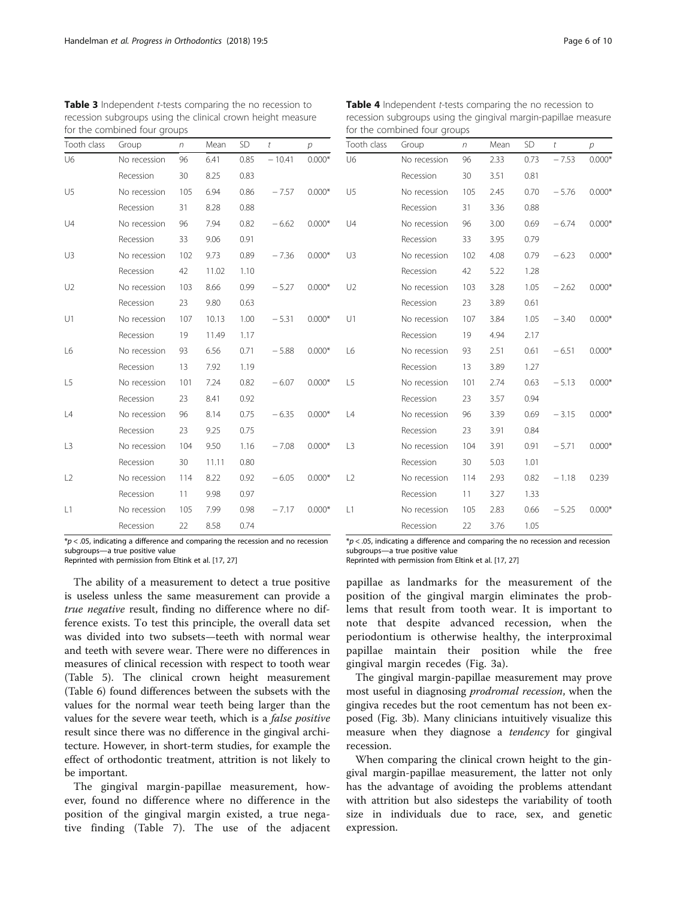| ior are combined roar groups |              |     |       |           |           |          |                |
|------------------------------|--------------|-----|-------|-----------|-----------|----------|----------------|
| Tooth class                  | Group        | n   | Mean  | <b>SD</b> | $\bar{t}$ | р        | Tooth class    |
| U <sub>6</sub>               | No recession | 96  | 6.41  | 0.85      | $-10.41$  | $0.000*$ | U <sub>6</sub> |
|                              | Recession    | 30  | 8.25  | 0.83      |           |          |                |
| U <sub>5</sub>               | No recession | 105 | 6.94  | 0.86      | $-7.57$   | $0.000*$ | U <sub>5</sub> |
|                              | Recession    | 31  | 8.28  | 0.88      |           |          |                |
| U4                           | No recession | 96  | 7.94  | 0.82      | $-6.62$   | $0.000*$ | U4             |
|                              | Recession    | 33  | 9.06  | 0.91      |           |          |                |
| U3                           | No recession | 102 | 9.73  | 0.89      | $-7.36$   | $0.000*$ | U3             |
|                              | Recession    | 42  | 11.02 | 1.10      |           |          |                |
| U <sub>2</sub>               | No recession | 103 | 8.66  | 0.99      | $-5.27$   | $0.000*$ | U <sub>2</sub> |
|                              | Recession    | 23  | 9.80  | 0.63      |           |          |                |
| U1                           | No recession | 107 | 10.13 | 1.00      | $-5.31$   | $0.000*$ | U1             |
|                              | Recession    | 19  | 11.49 | 1.17      |           |          |                |
| L6                           | No recession | 93  | 6.56  | 0.71      | $-5.88$   | $0.000*$ | L6             |
|                              | Recession    | 13  | 7.92  | 1.19      |           |          |                |
| L5                           | No recession | 101 | 7.24  | 0.82      | $-6.07$   | $0.000*$ | L5             |
|                              | Recession    | 23  | 8.41  | 0.92      |           |          |                |
| L4                           | No recession | 96  | 8.14  | 0.75      | $-6.35$   | $0.000*$ | L4             |
|                              | Recession    | 23  | 9.25  | 0.75      |           |          |                |
| L <sub>3</sub>               | No recession | 104 | 9.50  | 1.16      | $-7.08$   | $0.000*$ | L3             |
|                              | Recession    | 30  | 11.11 | 0.80      |           |          |                |
| L2                           | No recession | 114 | 8.22  | 0.92      | $-6.05$   | $0.000*$ | L2             |
|                              | Recession    | 11  | 9.98  | 0.97      |           |          |                |
| L1                           | No recession | 105 | 7.99  | 0.98      | $-7.17$   | $0.000*$ | L1             |
|                              | Recession    | 22  | 8.58  | 0.74      |           |          |                |

<span id="page-5-0"></span>Table 3 Independent *t*-tests comparing the no recession to recession subgroups using the clinical crown height measure for the combined four groups

 $*p$  < .05, indicating a difference and comparing the recession and no recession subgroups—a true positive value

Reprinted with permission from Eltink et al. [\[17](#page-9-0), [27\]](#page-9-0)

The ability of a measurement to detect a true positive is useless unless the same measurement can provide a true negative result, finding no difference where no difference exists. To test this principle, the overall data set was divided into two subsets—teeth with normal wear and teeth with severe wear. There were no differences in measures of clinical recession with respect to tooth wear (Table [5\)](#page-6-0). The clinical crown height measurement (Table [6](#page-6-0)) found differences between the subsets with the values for the normal wear teeth being larger than the values for the severe wear teeth, which is a false positive result since there was no difference in the gingival architecture. However, in short-term studies, for example the effect of orthodontic treatment, attrition is not likely to be important.

The gingival margin-papillae measurement, however, found no difference where no difference in the position of the gingival margin existed, a true negative finding (Table [7](#page-7-0)). The use of the adjacent

| <b>Table 4</b> Independent <i>t</i> -tests comparing the no recession to |
|--------------------------------------------------------------------------|
| recession subgroups using the gingival margin-papillae measure           |
| for the combined four groups                                             |

| Tooth class    | Group        | $\sqrt{n}$ | Mean | SD   | t       | р        |
|----------------|--------------|------------|------|------|---------|----------|
| U <sub>6</sub> | No recession | 96         | 2.33 | 0.73 | $-7.53$ | $0.000*$ |
|                | Recession    | 30         | 3.51 | 0.81 |         |          |
| U <sub>5</sub> | No recession | 105        | 2.45 | 0.70 | $-5.76$ | $0.000*$ |
|                | Recession    | 31         | 3.36 | 0.88 |         |          |
| U4             | No recession | 96         | 3.00 | 0.69 | $-6.74$ | $0.000*$ |
|                | Recession    | 33         | 3.95 | 0.79 |         |          |
| U3             | No recession | 102        | 4.08 | 0.79 | $-6.23$ | $0.000*$ |
|                | Recession    | 42         | 5.22 | 1.28 |         |          |
| U <sub>2</sub> | No recession | 103        | 3.28 | 1.05 | $-2.62$ | $0.000*$ |
|                | Recession    | 23         | 3.89 | 0.61 |         |          |
| U1             | No recession | 107        | 3.84 | 1.05 | $-3.40$ | $0.000*$ |
|                | Recession    | 19         | 4.94 | 2.17 |         |          |
| L6             | No recession | 93         | 2.51 | 0.61 | $-6.51$ | $0.000*$ |
|                | Recession    | 13         | 3.89 | 1.27 |         |          |
| L <sub>5</sub> | No recession | 101        | 2.74 | 0.63 | $-5.13$ | $0.000*$ |
|                | Recession    | 23         | 3.57 | 0.94 |         |          |
| L4             | No recession | 96         | 3.39 | 0.69 | $-3.15$ | $0.000*$ |
|                | Recession    | 23         | 3.91 | 0.84 |         |          |
| L <sub>3</sub> | No recession | 104        | 3.91 | 0.91 | $-5.71$ | $0.000*$ |
|                | Recession    | 30         | 5.03 | 1.01 |         |          |
| L2             | No recession | 114        | 2.93 | 0.82 | $-1.18$ | 0.239    |
|                | Recession    | 11         | 3.27 | 1.33 |         |          |
| L1             | No recession | 105        | 2.83 | 0.66 | $-5.25$ | $0.000*$ |
|                | Recession    | 22         | 3.76 | 1.05 |         |          |

 $*p$  < .05, indicating a difference and comparing the no recession and recession subgroups—a true positive value

Reprinted with permission from Eltink et al. [\[17](#page-9-0), [27\]](#page-9-0)

papillae as landmarks for the measurement of the position of the gingival margin eliminates the problems that result from tooth wear. It is important to note that despite advanced recession, when the periodontium is otherwise healthy, the interproximal papillae maintain their position while the free gingival margin recedes (Fig. [3a\)](#page-7-0).

The gingival margin-papillae measurement may prove most useful in diagnosing prodromal recession, when the gingiva recedes but the root cementum has not been exposed (Fig. [3b\)](#page-7-0). Many clinicians intuitively visualize this measure when they diagnose a tendency for gingival recession.

When comparing the clinical crown height to the gingival margin-papillae measurement, the latter not only has the advantage of avoiding the problems attendant with attrition but also sidesteps the variability of tooth size in individuals due to race, sex, and genetic expression.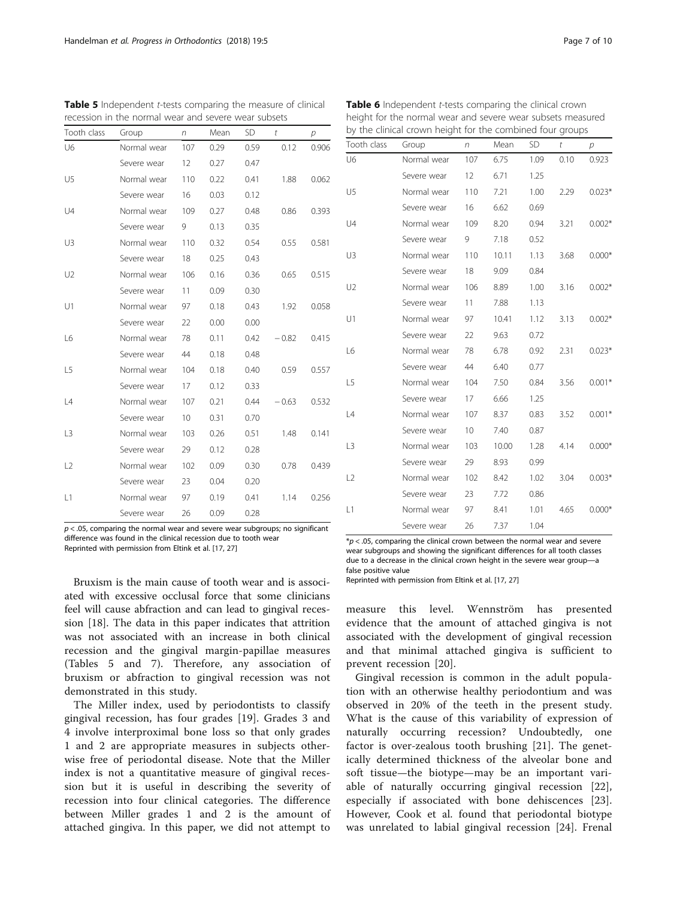| Tooth class    | Group       | n   | Mean | SD   | t       | р     |
|----------------|-------------|-----|------|------|---------|-------|
| U <sub>6</sub> | Normal wear | 107 | 0.29 | 0.59 | 0.12    | 0.906 |
|                | Severe wear | 12  | 0.27 | 0.47 |         |       |
| U <sub>5</sub> | Normal wear | 110 | 0.22 | 0.41 | 1.88    | 0.062 |
|                | Severe wear | 16  | 0.03 | 0.12 |         |       |
| U4             | Normal wear | 109 | 0.27 | 0.48 | 0.86    | 0.393 |
|                | Severe wear | 9   | 0.13 | 0.35 |         |       |
| U3             | Normal wear | 110 | 0.32 | 0.54 | 0.55    | 0.581 |
|                | Severe wear | 18  | 0.25 | 0.43 |         |       |
| U <sub>2</sub> | Normal wear | 106 | 0.16 | 0.36 | 0.65    | 0.515 |
|                | Severe wear | 11  | 0.09 | 0.30 |         |       |
| U1             | Normal wear | 97  | 0.18 | 0.43 | 1.92    | 0.058 |
|                | Severe wear | 22  | 0.00 | 0.00 |         |       |
| L6             | Normal wear | 78  | 0.11 | 0.42 | $-0.82$ | 0.415 |
|                | Severe wear | 44  | 0.18 | 0.48 |         |       |
| L <sub>5</sub> | Normal wear | 104 | 0.18 | 0.40 | 0.59    | 0.557 |
|                | Severe wear | 17  | 0.12 | 0.33 |         |       |
| L4             | Normal wear | 107 | 0.21 | 0.44 | $-0.63$ | 0.532 |
|                | Severe wear | 10  | 0.31 | 0.70 |         |       |
| L <sub>3</sub> | Normal wear | 103 | 0.26 | 0.51 | 1.48    | 0.141 |
|                | Severe wear | 29  | 0.12 | 0.28 |         |       |
| L2             | Normal wear | 102 | 0.09 | 0.30 | 0.78    | 0.439 |
|                | Severe wear | 23  | 0.04 | 0.20 |         |       |
| L1             | Normal wear | 97  | 0.19 | 0.41 | 1.14    | 0.256 |
|                | Severe wear | 26  | 0.09 | 0.28 |         |       |

<span id="page-6-0"></span>Table 5 Independent t-tests comparing the measure of clinical recession in the normal wear and severe wear subsets

 $p < .05$ , comparing the normal wear and severe wear subgroups; no significant difference was found in the clinical recession due to tooth wear Reprinted with permission from Eltink et al. [\[17](#page-9-0), [27\]](#page-9-0)

Bruxism is the main cause of tooth wear and is associated with excessive occlusal force that some clinicians feel will cause abfraction and can lead to gingival recession [[18](#page-9-0)]. The data in this paper indicates that attrition was not associated with an increase in both clinical recession and the gingival margin-papillae measures (Tables 5 and [7](#page-7-0)). Therefore, any association of bruxism or abfraction to gingival recession was not demonstrated in this study.

The Miller index, used by periodontists to classify gingival recession, has four grades [\[19](#page-9-0)]. Grades 3 and 4 involve interproximal bone loss so that only grades 1 and 2 are appropriate measures in subjects otherwise free of periodontal disease. Note that the Miller index is not a quantitative measure of gingival recession but it is useful in describing the severity of recession into four clinical categories. The difference between Miller grades 1 and 2 is the amount of attached gingiva. In this paper, we did not attempt to

| Tooth class    | Group       | $\sqrt{n}$        | Mean  | SD   | t    | р        |
|----------------|-------------|-------------------|-------|------|------|----------|
| U <sub>6</sub> | Normal wear | 107               | 6.75  | 1.09 | 0.10 | 0.923    |
|                | Severe wear | $12 \overline{ }$ | 6.71  | 1.25 |      |          |
| U <sub>5</sub> | Normal wear | 110               | 7.21  | 1.00 | 2.29 | $0.023*$ |
|                | Severe wear | 16                | 6.62  | 0.69 |      |          |
| U4             | Normal wear | 109               | 8.20  | 0.94 | 3.21 | $0.002*$ |
|                | Severe wear | 9                 | 7.18  | 0.52 |      |          |
| U3             | Normal wear | 110               | 10.11 | 1.13 | 3.68 | $0.000*$ |
|                | Severe wear | 18                | 9.09  | 0.84 |      |          |
| U <sub>2</sub> | Normal wear | 106               | 8.89  | 1.00 | 3.16 | $0.002*$ |
|                | Severe wear | 11                | 7.88  | 1.13 |      |          |
| U1             | Normal wear | 97                | 10.41 | 1.12 | 3.13 | $0.002*$ |
|                | Severe wear | 22                | 9.63  | 0.72 |      |          |
| L6             | Normal wear | 78                | 6.78  | 0.92 | 2.31 | $0.023*$ |
|                | Severe wear | 44                | 6.40  | 0.77 |      |          |
| L <sub>5</sub> | Normal wear | 104               | 7.50  | 0.84 | 3.56 | $0.001*$ |
|                | Severe wear | 17                | 6.66  | 1.25 |      |          |
| L4             | Normal wear | 107               | 8.37  | 0.83 | 3.52 | $0.001*$ |
|                | Severe wear | 10 <sup>°</sup>   | 7.40  | 0.87 |      |          |
| L <sub>3</sub> | Normal wear | 103               | 10.00 | 1.28 | 4.14 | $0.000*$ |
|                | Severe wear | 29                | 8.93  | 0.99 |      |          |
| L2             | Normal wear | 102               | 8.42  | 1.02 | 3.04 | $0.003*$ |
|                | Severe wear | 23                | 7.72  | 0.86 |      |          |
| $\perp$ 1      | Normal wear | 97                | 841   | 1.01 | 465  | $0.000*$ |

Table 6 Independent *t*-tests comparing the clinical crown height for the normal wear and severe wear subsets measured by the clinical crown height for the combined four groups

 $p < 0.05$ , comparing the clinical crown between the normal wear and severe wear subgroups and showing the significant differences for all tooth classes due to a decrease in the clinical crown height in the severe wear group—a false positive value

Severe wear 26 7.37 1.04

Reprinted with permission from Eltink et al. [\[17](#page-9-0), [27\]](#page-9-0)

measure this level. Wennström has presented evidence that the amount of attached gingiva is not associated with the development of gingival recession and that minimal attached gingiva is sufficient to prevent recession [[20\]](#page-9-0).

Gingival recession is common in the adult population with an otherwise healthy periodontium and was observed in 20% of the teeth in the present study. What is the cause of this variability of expression of naturally occurring recession? Undoubtedly, one factor is over-zealous tooth brushing [[21\]](#page-9-0). The genetically determined thickness of the alveolar bone and soft tissue—the biotype—may be an important variable of naturally occurring gingival recession [\[22](#page-9-0)], especially if associated with bone dehiscences [\[23](#page-9-0)]. However, Cook et al. found that periodontal biotype was unrelated to labial gingival recession [\[24](#page-9-0)]. Frenal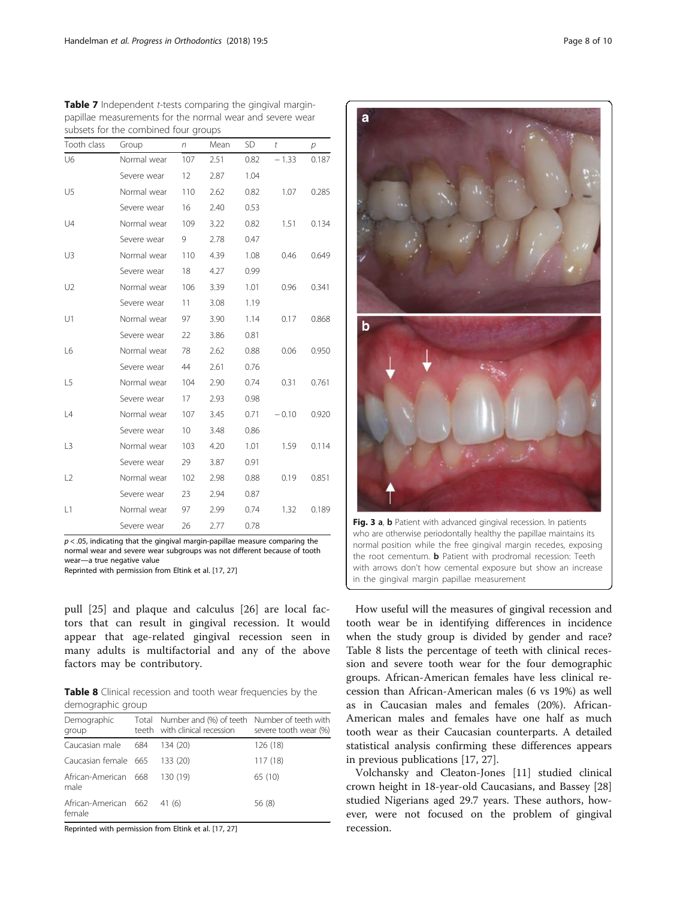| Tooth class    | Group       | $\sqrt{n}$      | Mean | <b>SD</b> | t       | $\mathcal{D}$ |
|----------------|-------------|-----------------|------|-----------|---------|---------------|
| U <sub>6</sub> | Normal wear | 107             | 2.51 | 0.82      | $-1.33$ | 0.187         |
|                | Severe wear | 12              | 2.87 | 1.04      |         |               |
| U <sub>5</sub> | Normal wear | 110             | 2.62 | 0.82      | 1.07    | 0.285         |
|                | Severe wear | 16              | 2.40 | 0.53      |         |               |
| U4             | Normal wear | 109             | 3.22 | 0.82      | 1.51    | 0.134         |
|                | Severe wear | 9               | 2.78 | 0.47      |         |               |
| U3             | Normal wear | 110             | 4.39 | 1.08      | 0.46    | 0.649         |
|                | Severe wear | 18              | 4.27 | 0.99      |         |               |
| U <sub>2</sub> | Normal wear | 106             | 3.39 | 1.01      | 0.96    | 0.341         |
|                | Severe wear | 11              | 3.08 | 1.19      |         |               |
| U1             | Normal wear | 97              | 3.90 | 1.14      | 0.17    | 0.868         |
|                | Severe wear | 22              | 3.86 | 0.81      |         |               |
| L6             | Normal wear | 78              | 2.62 | 0.88      | 0.06    | 0.950         |
|                | Severe wear | 44              | 2.61 | 0.76      |         |               |
| L <sub>5</sub> | Normal wear | 104             | 2.90 | 0.74      | 0.31    | 0.761         |
|                | Severe wear | 17              | 2.93 | 0.98      |         |               |
| L4             | Normal wear | 107             | 3.45 | 0.71      | $-0.10$ | 0.920         |
|                | Severe wear | 10 <sup>°</sup> | 3.48 | 0.86      |         |               |
| L <sub>3</sub> | Normal wear | 103             | 4.20 | 1.01      | 1.59    | 0.114         |
|                | Severe wear | 29              | 3.87 | 0.91      |         |               |
| L2             | Normal wear | 102             | 2.98 | 0.88      | 0.19    | 0.851         |
|                | Severe wear | 23              | 2.94 | 0.87      |         |               |
| L1             | Normal wear | 97              | 2.99 | 0.74      | 1.32    | 0.189         |
|                | Severe wear | 26              | 2.77 | 0.78      |         |               |

<span id="page-7-0"></span>Table 7 Independent *t*-tests comparing the gingival marginpapillae measurements for the normal wear and severe wear subsets for the combined four groups

 $p < .05$ , indicating that the gingival margin-papillae measure comparing the normal wear and severe wear subgroups was not different because of tooth wear—a true negative value

Reprinted with permission from Eltink et al. [\[17](#page-9-0), [27\]](#page-9-0)

pull [[25\]](#page-9-0) and plaque and calculus [\[26\]](#page-9-0) are local factors that can result in gingival recession. It would appear that age-related gingival recession seen in many adults is multifactorial and any of the above factors may be contributory.

Table 8 Clinical recession and tooth wear frequencies by the demographic group

| Demographic<br>group                  |     | Total Number and (%) of teeth Number of teeth with<br>teeth with clinical recession | severe tooth wear (%) |
|---------------------------------------|-----|-------------------------------------------------------------------------------------|-----------------------|
| Caucasian male                        | 684 | 134 (20)                                                                            | 126 (18)              |
| Caucasian female 665 133 (20)         |     |                                                                                     | 117(18)               |
| African-American 668 130 (19)<br>male |     |                                                                                     | 65 (10)               |
| African-American 662 41 (6)<br>female |     |                                                                                     | 56 (8)                |

Reprinted with permission from Eltink et al. [\[17](#page-9-0), [27\]](#page-9-0)



Fig. 3 a, b Patient with advanced gingival recession. In patients who are otherwise periodontally healthy the papillae maintains its normal position while the free gingival margin recedes, exposing the root cementum. **b** Patient with prodromal recession: Teeth with arrows don't how cemental exposure but show an increase in the gingival margin papillae measurement

How useful will the measures of gingival recession and tooth wear be in identifying differences in incidence when the study group is divided by gender and race? Table 8 lists the percentage of teeth with clinical recession and severe tooth wear for the four demographic groups. African-American females have less clinical recession than African-American males (6 vs 19%) as well as in Caucasian males and females (20%). African-American males and females have one half as much tooth wear as their Caucasian counterparts. A detailed statistical analysis confirming these differences appears in previous publications [[17, 27\]](#page-9-0).

Volchansky and Cleaton-Jones [\[11](#page-9-0)] studied clinical crown height in 18-year-old Caucasians, and Bassey [[28](#page-9-0)] studied Nigerians aged 29.7 years. These authors, however, were not focused on the problem of gingival recession.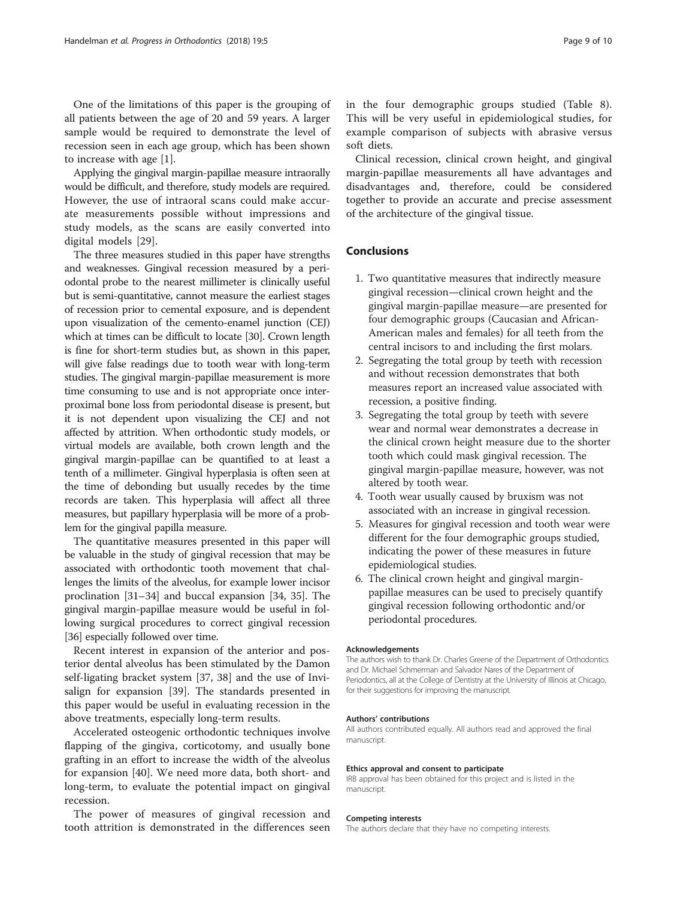One of the limitations of this paper is the grouping of all patients between the age of 20 and 59 years. A larger sample would be required to demonstrate the level of recession seen in each age group, which has been shown to increase with age [\[1](#page-9-0)].

Applying the gingival margin-papillae measure intraorally would be difficult, and therefore, study models are required. However, the use of intraoral scans could make accurate measurements possible without impressions and study models, as the scans are easily converted into digital models [\[29](#page-9-0)].

The three measures studied in this paper have strengths and weaknesses. Gingival recession measured by a periodontal probe to the nearest millimeter is clinically useful but is semi-quantitative, cannot measure the earliest stages of recession prior to cemental exposure, and is dependent upon visualization of the cemento-enamel junction (CEJ) which at times can be difficult to locate [[30](#page-9-0)]. Crown length is fine for short-term studies but, as shown in this paper, will give false readings due to tooth wear with long-term studies. The gingival margin-papillae measurement is more time consuming to use and is not appropriate once interproximal bone loss from periodontal disease is present, but it is not dependent upon visualizing the CEJ and not affected by attrition. When orthodontic study models, or virtual models are available, both crown length and the gingival margin-papillae can be quantified to at least a tenth of a millimeter. Gingival hyperplasia is often seen at the time of debonding but usually recedes by the time records are taken. This hyperplasia will affect all three measures, but papillary hyperplasia will be more of a problem for the gingival papilla measure.

The quantitative measures presented in this paper will be valuable in the study of gingival recession that may be associated with orthodontic tooth movement that challenges the limits of the alveolus, for example lower incisor proclination [\[31](#page-9-0)–[34](#page-9-0)] and buccal expansion [\[34, 35](#page-9-0)]. The gingival margin-papillae measure would be useful in following surgical procedures to correct gingival recession [[36](#page-9-0)] especially followed over time.

Recent interest in expansion of the anterior and posterior dental alveolus has been stimulated by the Damon self-ligating bracket system [[37](#page-9-0), [38\]](#page-9-0) and the use of Invisalign for expansion [[39\]](#page-9-0). The standards presented in this paper would be useful in evaluating recession in the above treatments, especially long-term results.

Accelerated osteogenic orthodontic techniques involve flapping of the gingiva, corticotomy, and usually bone grafting in an effort to increase the width of the alveolus for expansion [\[40](#page-9-0)]. We need more data, both short- and long-term, to evaluate the potential impact on gingival recession.

The power of measures of gingival recession and tooth attrition is demonstrated in the differences seen in the four demographic groups studied (Table [8](#page-7-0)). This will be very useful in epidemiological studies, for example comparison of subjects with abrasive versus soft diets.

Clinical recession, clinical crown height, and gingival margin-papillae measurements all have advantages and disadvantages and, therefore, could be considered together to provide an accurate and precise assessment of the architecture of the gingival tissue.

# Conclusions

- 1. Two quantitative measures that indirectly measure gingival recession—clinical crown height and the gingival margin-papillae measure—are presented for four demographic groups (Caucasian and African-American males and females) for all teeth from the central incisors to and including the first molars.
- 2. Segregating the total group by teeth with recession and without recession demonstrates that both measures report an increased value associated with recession, a positive finding.
- 3. Segregating the total group by teeth with severe wear and normal wear demonstrates a decrease in the clinical crown height measure due to the shorter tooth which could mask gingival recession. The gingival margin-papillae measure, however, was not altered by tooth wear.
- 4. Tooth wear usually caused by bruxism was not associated with an increase in gingival recession.
- 5. Measures for gingival recession and tooth wear were different for the four demographic groups studied, indicating the power of these measures in future epidemiological studies.
- 6. The clinical crown height and gingival marginpapillae measures can be used to precisely quantify gingival recession following orthodontic and/or periodontal procedures.

#### Acknowledgements

The authors wish to thank Dr. Charles Greene of the Department of Orthodontics and Dr. Michael Schmerman and Salvador Nares of the Department of Periodontics, all at the College of Dentistry at the University of Illinois at Chicago, for their suggestions for improving the manuscript.

#### Authors' contributions

All authors contributed equally. All authors read and approved the final manuscript.

#### Ethics approval and consent to participate

IRB approval has been obtained for this project and is listed in the manuscript.

#### Competing interests

The authors declare that they have no competing interests.